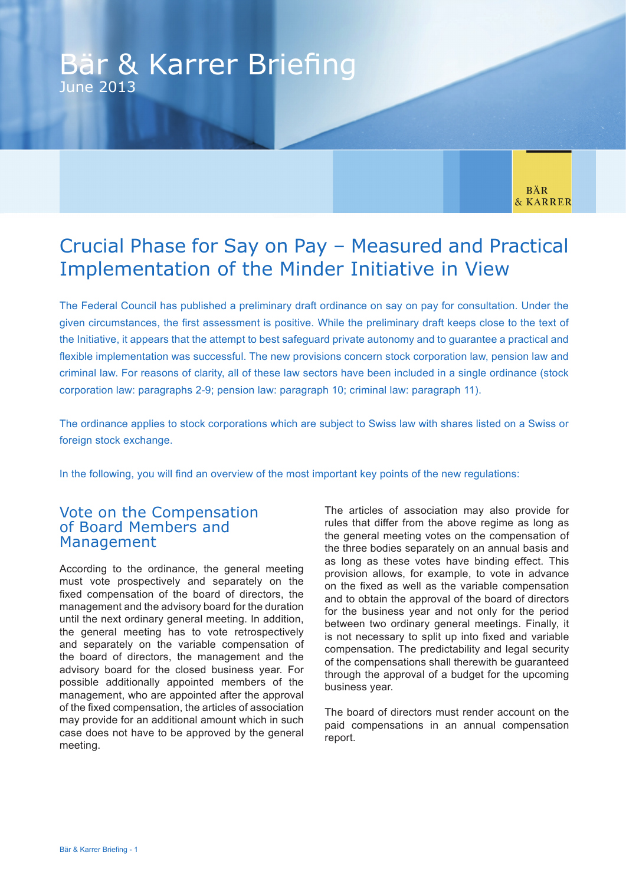# Bär & Karrer Briefing June 2013

**BÄR** & KARRER

# Crucial Phase for Say on Pay – Measured and Practical Implementation of the Minder Initiative in View

The Federal Council has published a preliminary draft ordinance on say on pay for consultation. Under the given circumstances, the first assessment is positive. While the preliminary draft keeps close to the text of the Initiative, it appears that the attempt to best safeguard private autonomy and to guarantee a practical and flexible implementation was successful. The new provisions concern stock corporation law, pension law and criminal law. For reasons of clarity, all of these law sectors have been included in a single ordinance (stock corporation law: paragraphs 2-9; pension law: paragraph 10; criminal law: paragraph 11).

The ordinance applies to stock corporations which are subject to Swiss law with shares listed on a Swiss or foreign stock exchange.

In the following, you will find an overview of the most important key points of the new regulations:

#### Vote on the Compensation of Board Members and Management

According to the ordinance, the general meeting must vote prospectively and separately on the fixed compensation of the board of directors, the management and the advisory board for the duration until the next ordinary general meeting. In addition, the general meeting has to vote retrospectively and separately on the variable compensation of the board of directors, the management and the advisory board for the closed business year. For possible additionally appointed members of the management, who are appointed after the approval of the fixed compensation, the articles of association may provide for an additional amount which in such case does not have to be approved by the general meeting.

The articles of association may also provide for rules that differ from the above regime as long as the general meeting votes on the compensation of the three bodies separately on an annual basis and as long as these votes have binding effect. This provision allows, for example, to vote in advance on the fixed as well as the variable compensation and to obtain the approval of the board of directors for the business year and not only for the period between two ordinary general meetings. Finally, it is not necessary to split up into fixed and variable compensation. The predictability and legal security of the compensations shall therewith be guaranteed through the approval of a budget for the upcoming business year.

The board of directors must render account on the paid compensations in an annual compensation report.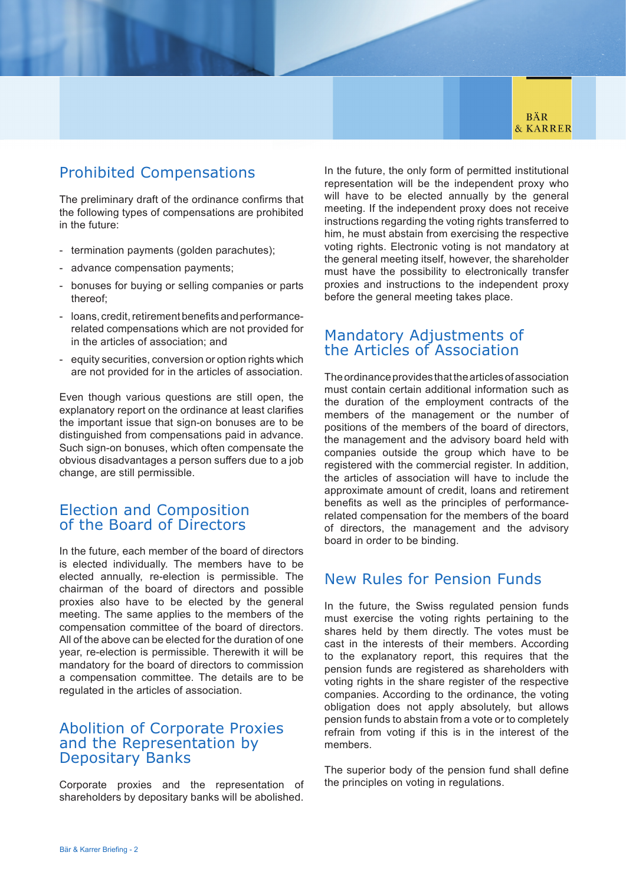

# Prohibited Compensations

The preliminary draft of the ordinance confirms that the following types of compensations are prohibited in the future:

- termination payments (golden parachutes);
- advance compensation payments;
- bonuses for buying or selling companies or parts thereof;
- loans, credit, retirement benefits and performancerelated compensations which are not provided for in the articles of association; and
- equity securities, conversion or option rights which are not provided for in the articles of association.

Even though various questions are still open, the explanatory report on the ordinance at least clarifies the important issue that sign-on bonuses are to be distinguished from compensations paid in advance. Such sign-on bonuses, which often compensate the obvious disadvantages a person suffers due to a job change, are still permissible.

### Election and Composition of the Board of Directors

In the future, each member of the board of directors is elected individually. The members have to be elected annually, re-election is permissible. The chairman of the board of directors and possible proxies also have to be elected by the general meeting. The same applies to the members of the compensation committee of the board of directors. All of the above can be elected for the duration of one year, re-election is permissible. Therewith it will be mandatory for the board of directors to commission a compensation committee. The details are to be regulated in the articles of association.

### Abolition of Corporate Proxies and the Representation by Depositary Banks

Corporate proxies and the representation of shareholders by depositary banks will be abolished.

In the future, the only form of permitted institutional representation will be the independent proxy who will have to be elected annually by the general meeting. If the independent proxy does not receive instructions regarding the voting rights transferred to him, he must abstain from exercising the respective voting rights. Electronic voting is not mandatory at the general meeting itself, however, the shareholder must have the possibility to electronically transfer proxies and instructions to the independent proxy before the general meeting takes place.

# Mandatory Adjustments of the Articles of Association

The ordinance provides that the articles of association must contain certain additional information such as the duration of the employment contracts of the members of the management or the number of positions of the members of the board of directors, the management and the advisory board held with companies outside the group which have to be registered with the commercial register. In addition, the articles of association will have to include the approximate amount of credit, loans and retirement benefits as well as the principles of performancerelated compensation for the members of the board of directors, the management and the advisory board in order to be binding.

### New Rules for Pension Funds

In the future, the Swiss regulated pension funds must exercise the voting rights pertaining to the shares held by them directly. The votes must be cast in the interests of their members. According to the explanatory report, this requires that the pension funds are registered as shareholders with voting rights in the share register of the respective companies. According to the ordinance, the voting obligation does not apply absolutely, but allows pension funds to abstain from a vote or to completely refrain from voting if this is in the interest of the members.

The superior body of the pension fund shall define the principles on voting in regulations.